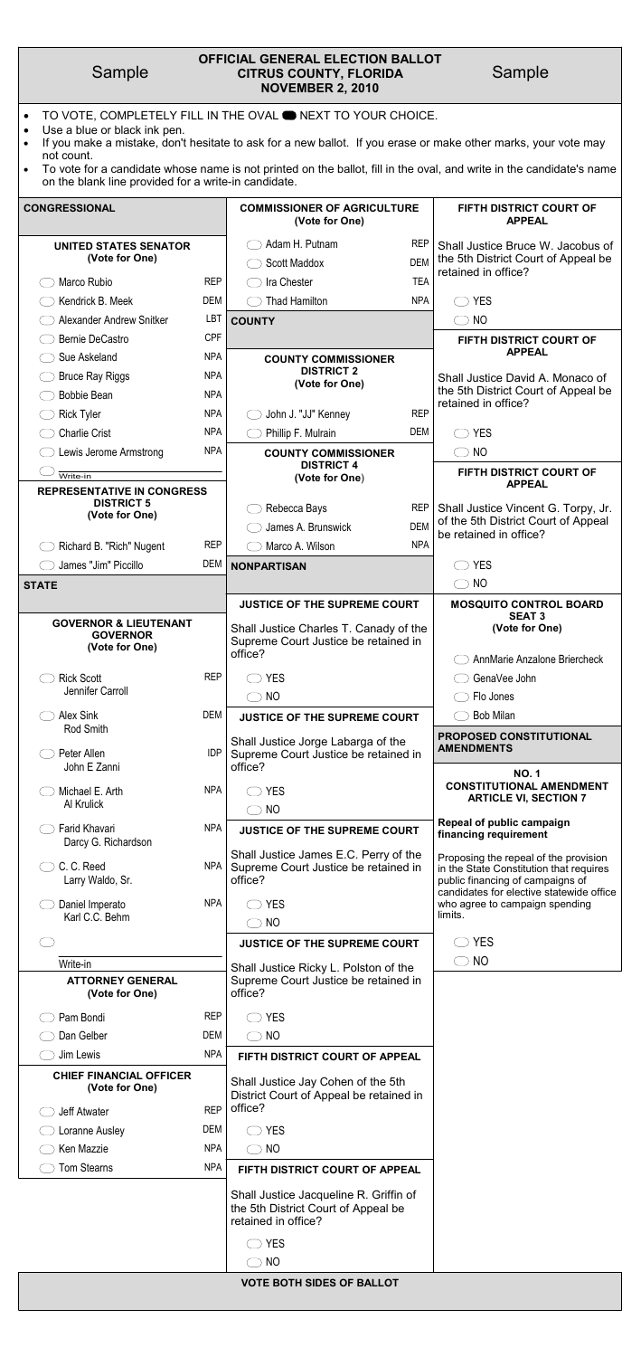| Sample                                                                                                          |            | <b>OFFICIAL GENERAL ELECTION BALLOT</b><br><b>CITRUS COUNTY, FLORIDA</b><br><b>NOVEMBER 2, 2010</b>                                                                                  |                          | Sample                                                                                                                                                           |
|-----------------------------------------------------------------------------------------------------------------|------------|--------------------------------------------------------------------------------------------------------------------------------------------------------------------------------------|--------------------------|------------------------------------------------------------------------------------------------------------------------------------------------------------------|
| Use a blue or black ink pen.<br>$\bullet$<br>not count.<br>on the blank line provided for a write-in candidate. |            | TO VOTE, COMPLETELY FILL IN THE OVAL <b>O NEXT TO YOUR CHOICE.</b><br>If you make a mistake, don't hesitate to ask for a new ballot. If you erase or make other marks, your vote may |                          | To vote for a candidate whose name is not printed on the ballot, fill in the oval, and write in the candidate's name                                             |
| <b>CONGRESSIONAL</b>                                                                                            |            | <b>COMMISSIONER OF AGRICULTURE</b><br>(Vote for One)                                                                                                                                 |                          | FIFTH DISTRICT COURT OF<br><b>APPEAL</b>                                                                                                                         |
| <b>UNITED STATES SENATOR</b><br>(Vote for One)                                                                  |            | Adam H. Putnam<br><b>Scott Maddox</b>                                                                                                                                                | <b>REP</b><br><b>DEM</b> | Shall Justice Bruce W. Jacobus of<br>the 5th District Court of Appeal be<br>retained in office?                                                                  |
| Marco Rubio                                                                                                     | <b>REP</b> | Ira Chester                                                                                                                                                                          | <b>TEA</b>               |                                                                                                                                                                  |
| Kendrick B. Meek                                                                                                | DEM        | <b>Thad Hamilton</b><br>$($ )                                                                                                                                                        | <b>NPA</b>               | <b>YES</b><br>$($ )                                                                                                                                              |
| Alexander Andrew Snitker                                                                                        | <b>LBT</b> | <b>COUNTY</b>                                                                                                                                                                        |                          | <b>NO</b><br>$\bigcirc$                                                                                                                                          |
| <b>Bernie DeCastro</b>                                                                                          | <b>CPF</b> |                                                                                                                                                                                      |                          | FIFTH DISTRICT COURT OF                                                                                                                                          |
| Sue Askeland                                                                                                    | <b>NPA</b> | <b>COUNTY COMMISSIONER</b>                                                                                                                                                           |                          | <b>APPEAL</b>                                                                                                                                                    |
| <b>Bruce Ray Riggs</b>                                                                                          | <b>NPA</b> | <b>DISTRICT 2</b><br>(Vote for One)                                                                                                                                                  |                          | Shall Justice David A. Monaco of                                                                                                                                 |
| <b>Bobbie Bean</b>                                                                                              | <b>NPA</b> |                                                                                                                                                                                      |                          | the 5th District Court of Appeal be<br>retained in office?                                                                                                       |
| <b>Rick Tyler</b>                                                                                               | <b>NPA</b> | John J. "JJ" Kenney                                                                                                                                                                  | <b>REP</b>               |                                                                                                                                                                  |
| <b>Charlie Crist</b>                                                                                            | <b>NPA</b> | Phillip F. Mulrain                                                                                                                                                                   | <b>DEM</b>               | <b>YES</b><br>$($ )                                                                                                                                              |
| Lewis Jerome Armstrong                                                                                          | <b>NPA</b> | <b>COUNTY COMMISSIONER</b>                                                                                                                                                           |                          | $\bigcirc$ NO                                                                                                                                                    |
| Write-in                                                                                                        |            | <b>DISTRICT 4</b><br>(Vote for One)                                                                                                                                                  |                          | FIFTH DISTRICT COURT OF                                                                                                                                          |
| <b>REPRESENTATIVE IN CONGRESS</b><br><b>DISTRICT 5</b><br>(Vote for One)                                        |            | Rebecca Bays<br>James A. Brunswick                                                                                                                                                   | REP I<br><b>DEM</b>      | <b>APPEAL</b><br>Shall Justice Vincent G. Torpy, Jr.<br>of the 5th District Court of Appeal                                                                      |
| Richard B. "Rich" Nugent                                                                                        | <b>REP</b> | Marco A. Wilson                                                                                                                                                                      | <b>NPA</b>               | be retained in office?                                                                                                                                           |
| James "Jim" Piccillo                                                                                            | DEM        | <b>NONPARTISAN</b>                                                                                                                                                                   |                          | <b>YES</b>                                                                                                                                                       |
| <b>STATE</b>                                                                                                    |            |                                                                                                                                                                                      |                          | NO<br>$($ )                                                                                                                                                      |
|                                                                                                                 |            | <b>JUSTICE OF THE SUPREME COURT</b>                                                                                                                                                  |                          | <b>MOSQUITO CONTROL BOARD</b>                                                                                                                                    |
| <b>GOVERNOR &amp; LIEUTENANT</b><br><b>GOVERNOR</b><br>(Vote for One)                                           |            | Shall Justice Charles T. Canady of the<br>Supreme Court Justice be retained in<br>office?                                                                                            |                          | <b>SEAT 3</b><br>(Vote for One)<br>AnnMarie Anzalone Briercheck                                                                                                  |
| <b>Rick Scott</b>                                                                                               | <b>REP</b> | <b>YES</b>                                                                                                                                                                           |                          | GenaVee John                                                                                                                                                     |
| Jennifer Carroll                                                                                                |            | $\bigcirc$ NO                                                                                                                                                                        |                          | Flo Jones                                                                                                                                                        |
| Alex Sink<br>Rod Smith                                                                                          | <b>DEM</b> | <b>JUSTICE OF THE SUPREME COURT</b>                                                                                                                                                  |                          | <b>Bob Milan</b>                                                                                                                                                 |
| Peter Allen<br>John E Zanni                                                                                     | <b>IDP</b> | Shall Justice Jorge Labarga of the<br>Supreme Court Justice be retained in<br>office?                                                                                                |                          | PROPOSED CONSTITUTIONAL<br><b>AMENDMENTS</b>                                                                                                                     |
| Michael E. Arth<br>Al Krulick                                                                                   | <b>NPA</b> | <b>YES</b><br>$\bigcirc$ NO                                                                                                                                                          |                          | <b>NO.1</b><br><b>CONSTITUTIONAL AMENDMENT</b><br><b>ARTICLE VI, SECTION 7</b>                                                                                   |
| Farid Khavari<br>Darcy G. Richardson                                                                            | <b>NPA</b> | <b>JUSTICE OF THE SUPREME COURT</b>                                                                                                                                                  |                          | Repeal of public campaign<br>financing requirement                                                                                                               |
| C. C. Reed<br>Larry Waldo, Sr.                                                                                  | NPA        | Shall Justice James E.C. Perry of the<br>Supreme Court Justice be retained in<br>office?                                                                                             |                          | Proposing the repeal of the provision<br>in the State Constitution that requires<br>public financing of campaigns of<br>candidates for elective statewide office |
| Daniel Imperato<br>Karl C.C. Behm                                                                               | <b>NPA</b> | <b>YES</b><br>$\bigcirc$ NO                                                                                                                                                          |                          | who agree to campaign spending<br>limits.                                                                                                                        |
|                                                                                                                 |            | <b>JUSTICE OF THE SUPREME COURT</b>                                                                                                                                                  |                          | <b>YES</b>                                                                                                                                                       |
|                                                                                                                 |            |                                                                                                                                                                                      |                          | $\bigcirc$ NO                                                                                                                                                    |
| Write-in<br><b>ATTORNEY GENERAL</b>                                                                             |            | Shall Justice Ricky L. Polston of the<br>Supreme Court Justice be retained in                                                                                                        |                          |                                                                                                                                                                  |

| (Vote for One)                                   |            | office?                                                                                              |
|--------------------------------------------------|------------|------------------------------------------------------------------------------------------------------|
| Pam Bondi                                        | <b>REP</b> | <b>YES</b>                                                                                           |
| Dan Gelber                                       | DEM        | NO                                                                                                   |
| Jim Lewis                                        | <b>NPA</b> | FIFTH DISTRICT COURT OF APPEAL                                                                       |
| <b>CHIEF FINANCIAL OFFICER</b><br>(Vote for One) |            | Shall Justice Jay Cohen of the 5th<br>District Court of Appeal be retained in                        |
| Jeff Atwater                                     | <b>REP</b> | office?                                                                                              |
| Loranne Ausley                                   | DEM        | <b>YES</b>                                                                                           |
| Ken Mazzie                                       | <b>NPA</b> | <b>NO</b>                                                                                            |
| <b>Tom Stearns</b>                               | <b>NPA</b> | FIFTH DISTRICT COURT OF APPEAL                                                                       |
|                                                  |            | Shall Justice Jacqueline R. Griffin of<br>the 5th District Court of Appeal be<br>retained in office? |
|                                                  |            | <b>YES</b>                                                                                           |
|                                                  |            | <b>NO</b>                                                                                            |
|                                                  |            | <b>VOTE BOTH SIDES OF BALLOT</b>                                                                     |
|                                                  |            |                                                                                                      |